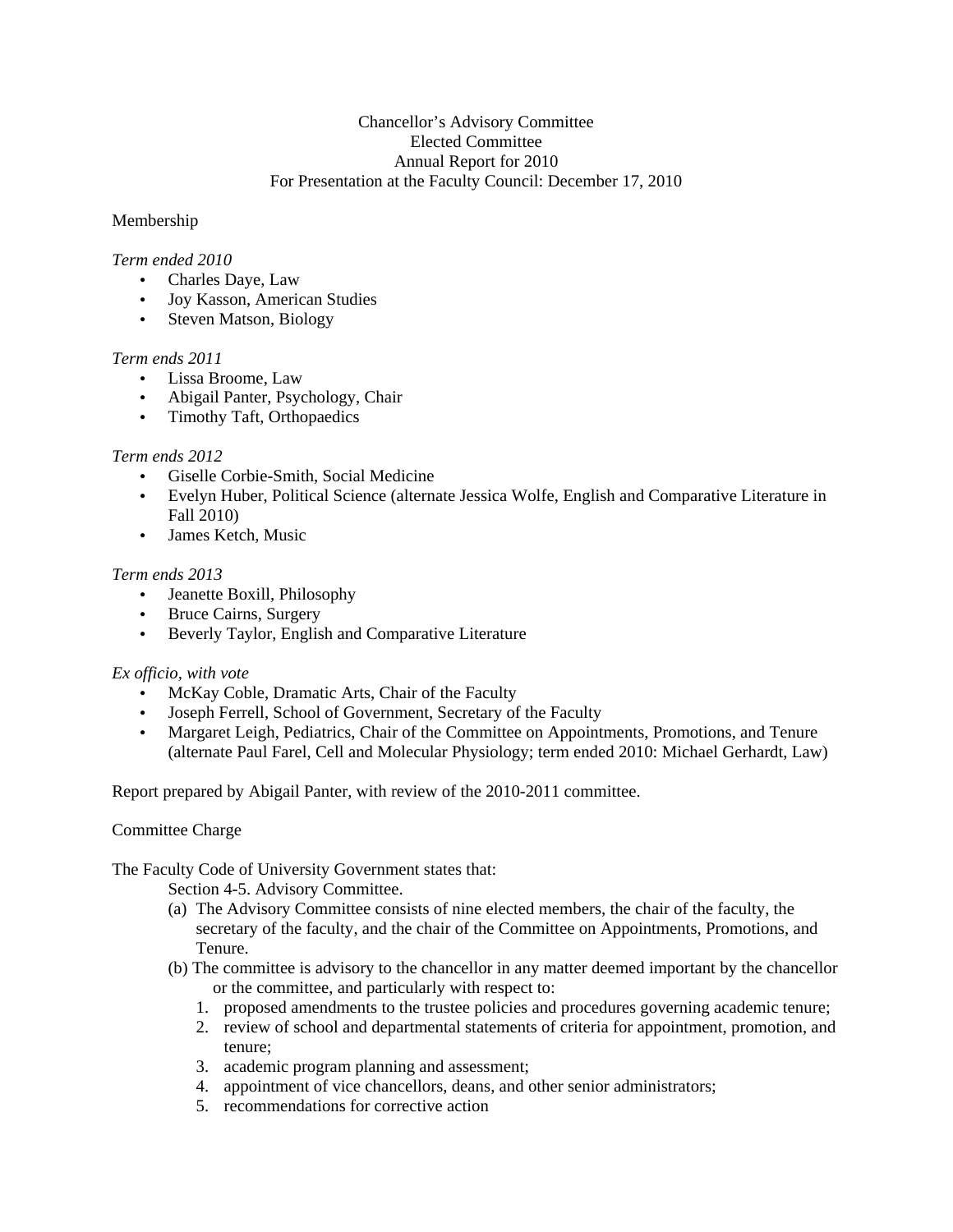## Chancellor's Advisory Committee Elected Committee Annual Report for 2010 For Presentation at the Faculty Council: December 17, 2010

## Membership

## *Term ended 2010*

- Charles Daye, Law
- Joy Kasson, American Studies
- Steven Matson, Biology

### *Term ends 2011*

- Lissa Broome, Law
- Abigail Panter, Psychology, Chair
- Timothy Taft, Orthopaedics

### *Term ends 2012*

- Giselle Corbie-Smith, Social Medicine
- Evelyn Huber, Political Science (alternate Jessica Wolfe, English and Comparative Literature in Fall 2010)
- James Ketch, Music

### *Term ends 2013*

- Jeanette Boxill, Philosophy
- Bruce Cairns, Surgery
- Beverly Taylor, English and Comparative Literature

# *Ex officio, with vote*

- McKay Coble, Dramatic Arts, Chair of the Faculty
- Joseph Ferrell, School of Government, Secretary of the Faculty
- Margaret Leigh, Pediatrics, Chair of the Committee on Appointments, Promotions, and Tenure (alternate Paul Farel, Cell and Molecular Physiology; term ended 2010: Michael Gerhardt, Law)

Report prepared by Abigail Panter, with review of the 2010-2011 committee.

# Committee Charge

# The Faculty Code of University Government states that:

Section 4-5. Advisory Committee.

- (a) The Advisory Committee consists of nine elected members, the chair of the faculty, the secretary of the faculty, and the chair of the Committee on Appointments, Promotions, and Tenure.
- (b) The committee is advisory to the chancellor in any matter deemed important by the chancellor or the committee, and particularly with respect to:
	- 1. proposed amendments to the trustee policies and procedures governing academic tenure;
	- 2. review of school and departmental statements of criteria for appointment, promotion, and tenure;
	- 3. academic program planning and assessment;
	- 4. appointment of vice chancellors, deans, and other senior administrators;
	- 5. recommendations for corrective action